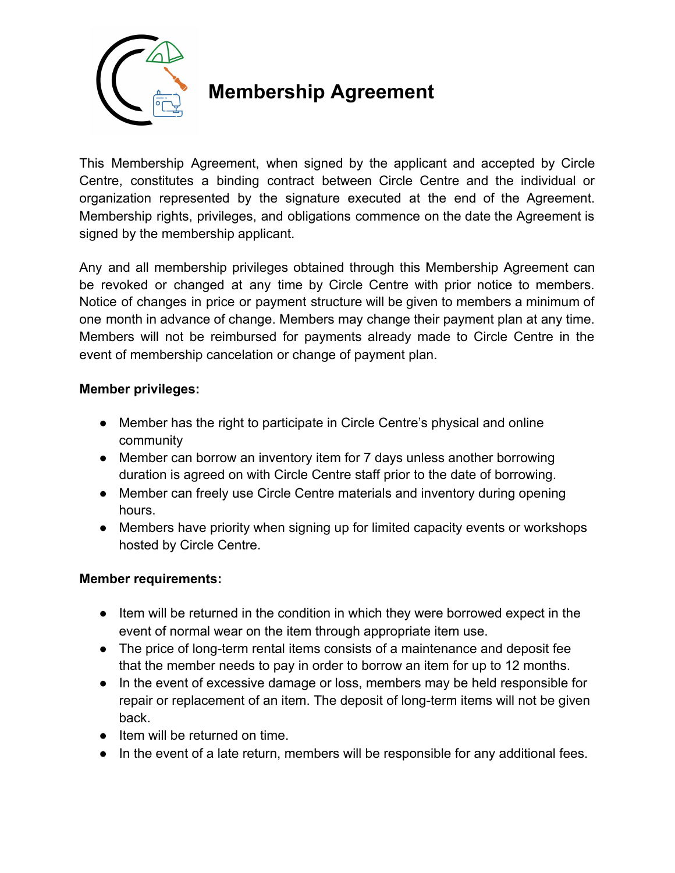

## **Membership Agreement**

This Membership Agreement, when signed by the applicant and accepted by Circle Centre, constitutes a binding contract between Circle Centre and the individual or organization represented by the signature executed at the end of the Agreement. Membership rights, privileges, and obligations commence on the date the Agreement is signed by the membership applicant.

Any and all membership privileges obtained through this Membership Agreement can be revoked or changed at any time by Circle Centre with prior notice to members. Notice of changes in price or payment structure will be given to members a minimum of one month in advance of change. Members may change their payment plan at any time. Members will not be reimbursed for payments already made to Circle Centre in the event of membership cancelation or change of payment plan.

## **Member privileges:**

- Member has the right to participate in Circle Centre's physical and online community
- Member can borrow an inventory item for 7 days unless another borrowing duration is agreed on with Circle Centre staff prior to the date of borrowing.
- Member can freely use Circle Centre materials and inventory during opening hours.
- Members have priority when signing up for limited capacity events or workshops hosted by Circle Centre.

## **Member requirements:**

- Item will be returned in the condition in which they were borrowed expect in the event of normal wear on the item through appropriate item use.
- The price of long-term rental items consists of a maintenance and deposit fee that the member needs to pay in order to borrow an item for up to 12 months.
- In the event of excessive damage or loss, members may be held responsible for repair or replacement of an item. The deposit of long-term items will not be given back.
- Item will be returned on time.
- In the event of a late return, members will be responsible for any additional fees.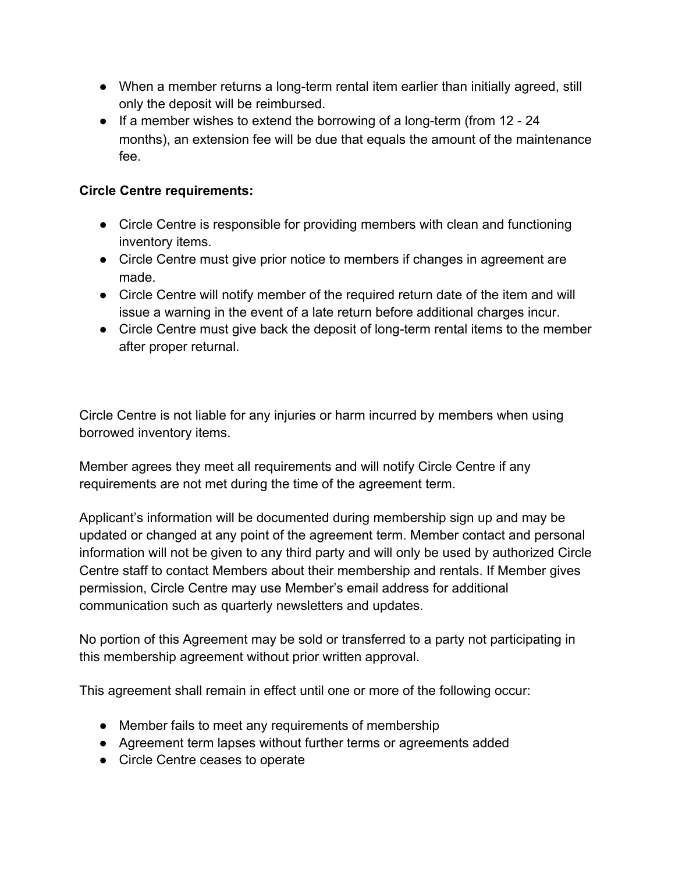- When a member returns a long-term rental item earlier than initially agreed, still only the deposit will be reimbursed.
- If a member wishes to extend the borrowing of a long-term (from 12 24 months), an extension fee will be due that equals the amount of the maintenance fee.

## **Circle Centre requirements:**

- Circle Centre is responsible for providing members with clean and functioning inventory items.
- Circle Centre must give prior notice to members if changes in agreement are made.
- Circle Centre will notify member of the required return date of the item and will issue a warning in the event of a late return before additional charges incur.
- Circle Centre must give back the deposit of long-term rental items to the member after proper returnal.

Circle Centre is not liable for any injuries or harm incurred by members when using borrowed inventory items.

Member agrees they meet all requirements and will notify Circle Centre if any requirements are not met during the time of the agreement term.

Applicant's information will be documented during membership sign up and may be updated or changed at any point of the agreement term. Member contact and personal information will not be given to any third party and will only be used by authorized Circle Centre staff to contact Members about their membership and rentals. If Member gives permission, Circle Centre may use Member's email address for additional communication such as quarterly newsletters and updates.

No portion of this Agreement may be sold or transferred to a party not participating in this membership agreement without prior written approval.

This agreement shall remain in effect until one or more of the following occur:

- Member fails to meet any requirements of membership
- Agreement term lapses without further terms or agreements added
- Circle Centre ceases to operate